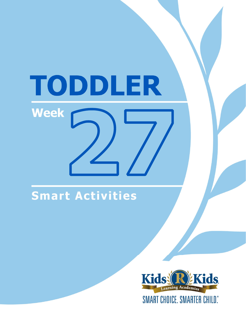# TODDLER **Week**

## Smart Activities

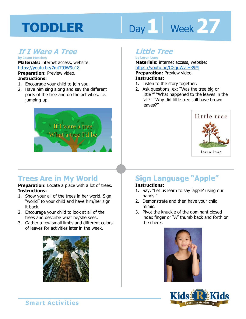# Day 1 **Week 27**

## **If I Were A Tree**

**by Jason Mesches Materials:** internet access, website: https://youtu.be/7mt79JW9u18

**Preparation:** Preview video. **Instructions:** 

- 1. Encourage your child to join you.
- 2. Have him sing along and say the different parts of the tree and do the activities, i.e. jumping up.



## **Trees Are in My World**

**Preparation:** Locate a place with a lot of trees. **Instructions:** 

- 1. Show your all of the trees in her world. Sign "world" to your child and have him/her sign it back.
- 2. Encourage your child to look at all of the trees and describe what he/she sees.
- 3. Gather a few small limbs and different colors of leaves for activities later in the week.



## **Little Tree**

**by Loren Long Materials:** internet access, website:

https://youtu.be/CGquWvJH39M<br>**Preparation:** Preview video.<br>**Instructions:**<br>1 Listen to the stary teastbor **Preparation:** Preview video. **Instructions:** 

- 1. Listen to the story together.
- 2. Ask questions, ex: "Was the tree big or little?" "What happened to the leaves in the fall?" "Why did little tree still have brown leaves?"



## **Sign Language "Apple"**

#### **Instructions:**

- 1. Say, "Let us learn to say 'apple' using our hands."
- 2. Demonstrate and then have your child mimic.
- 3. Pivot the knuckle of the dominant closed index finger or "A" thumb back and forth on the cheek.



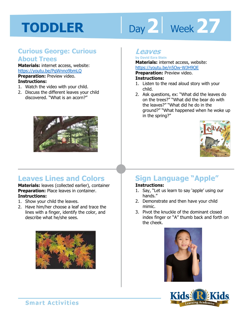# Day 2 | Week 27

## **Curious George: Curious About Trees**

**Materials:** internet access, website: https://youtu.be/PqWnno9bmLQ **Preparation:** Preview video. **Instructions:** 

- 1. Watch the video with your child.
- 2. Discuss the different leaves your child discovered. "What is an acorn?"



## **Leaves Lines and Colors**

**Materials:** leaves (collected earlier), container **Preparation:** Place leaves in container. **Instructions:** 

- 1. Show your child the leaves.
- 2. Have him/her choose a leaf and trace the lines with a finger, identify the color, and describe what he/she sees.



## **Leaves**

**by David Ezra Stein Materials:** internet access, website:

https://youtu.be/n5Ow-WJH9QE<br>**Preparation:** Preview video.<br>**Instructions:**<br>1 Listen to the read aloud star with w **Preparation:** Preview video.

#### **Instructions:**

- 1. Listen to the read aloud story with your child.
- 2. Ask questions, ex: "What did the leaves do on the trees?" "What did the bear do with the leaves?" "What did he do in the ground?" "What happened when he woke up in the spring?"



## **Sign Language "Apple"**

#### **Instructions:**

- 1. Say, "Let us learn to say 'apple' using our hands."
- 2. Demonstrate and then have your child mimic.
- 3. Pivot the knuckle of the dominant closed index finger or "A" thumb back and forth on the cheek.





**Smart Activities**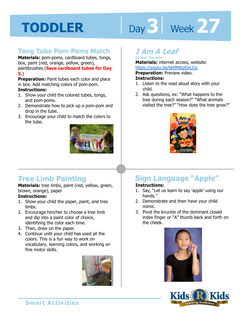# Day 3 | Week 27

## **Tong Tube Pom-Poms Match**

**Materials:** pom-poms, cardboard tubes, tongs, box, paint (red, orange, yellow, green), paintbrushes (**Save cardboard tubes for Day 5.**)

**Preparation:** Paint tubes each color and place in box. Add matching colors of pom-pom. **Instructions:** 

- 1. Show your child the colored tubes, tongs, and pom-poms.
- 2. Demonstrate how to pick up a pom-pom and drop in the tube.
- 3. Encourage your child to match the colors to the tube.



## **Tree Limb Painting**

**Materials:** tree limbs, paint (red, yellow, green, brown, orange), paper

#### **Instructions:**

- 1. Show your child the paper, paint, and tree limbs.
- 2. Encourage him/her to choose a tree limb and dip into a paint color of choice, identifying the color each time.
- 3. Then, draw on the paper.
- 4. Continue until your child has used all the colors. This is a fun way to work on vocabulary, learning colors, and working on fine motor skills.



## **I Am A Leaf**

**by Jean Marzollo Materials:** internet access, website:

https://youtu.be/bH9NKpDvLCg<br>**Preparation:** Preview video.<br>**Instructions:**<br>1 Listen to the read aloud star with w **Preparation:** Preview video. **Instructions:** 

- 1. Listen to the read aloud story with your child.
- 2. Ask questions, ex: "What happens to the tree during each season?" "What animals visited the tree?" "How does the tree grow?"



## **Sign Language "Apple"**

#### **Instructions:**

- 1. Say, "Let us learn to say 'apple' using our hands."
- 2. Demonstrate and then have your child mimic.
- 3. Pivot the knuckle of the dominant closed index finger or "A" thumb back and forth on the cheek.



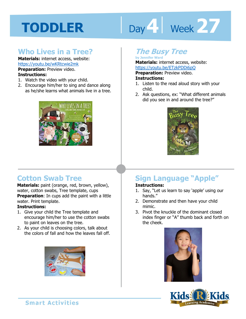# Day 4 Week 27

## **Who Lives in a Tree?**

**Materials:** internet access, website: https://youtu.be/wKRtcwie2mk **Preparation:** Preview video. **Instructions:** 

- 1. Watch the video with your child.
- 2. Encourage him/her to sing and dance along as he/she learns what animals live in a tree.



## **The Busy Tree**

**by Jennifer Ward Materials:** internet access, website:

https://youtu.be/ETzkPDDi6pQ<br>**Preparation:** Preview video.<br>**Instructions:**<br>1 Listen to the read aloud star with w **Preparation:** Preview video.

#### **Instructions:**

- 1. Listen to the read aloud story with your child.
- 2. Ask questions, ex: "What different animals did you see in and around the tree?"



## **Cotton Swab Tree**

**Materials:** paint (orange, red, brown, yellow), water, cotton swabs, Tree template, cups **Preparation**: In cups add the paint with a little water. Print template.

#### **Instructions:**

- 1. Give your child the Tree template and encourage him/her to use the cotton swabs to paint on leaves on the tree.
- 2. As your child is choosing colors, talk about the colors of fall and how the leaves fall off.



## **Sign Language "Apple"**

#### **Instructions:**

- 1. Say, "Let us learn to say 'apple' using our hands."
- 2. Demonstrate and then have your child mimic.
- 3. Pivot the knuckle of the dominant closed index finger or "A" thumb back and forth on the cheek.



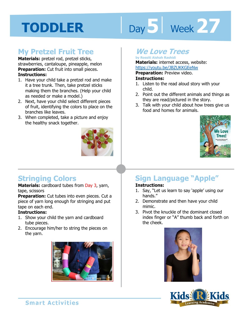## Day 5 | Week 27

## **My Pretzel Fruit Tree**

**Materials:** pretzel rod, pretzel sticks, strawberries, cantaloupe, pineapple, melon **Preparation:** Cut fruit into small pieces. **Instructions:** 

- 1. Have your child take a pretzel rod and make it a tree trunk. Then, take pretzel sticks making them the branches. (Help your child as needed or make a model.)
- 2. Next, have your child select different pieces of fruit, identifying the colors to place on the branches like leaves.
- 3. When completed, take a picture and enjoy the healthy snack together.



## **Stringing Colors**

**Materials:** cardboard tubes from Day 3, yarn, tape, scissors

**Preparation:** Cut tubes into even pieces. Cut a piece of yarn long enough for stringing and put tape on each end.

#### **Instructions:**

- 1. Show your child the yarn and cardboard tube pieces.
- 2. Encourage him/her to string the pieces on the yarn.



## **We Love Trees**

**by Rossiti Aishah Rashidi Materials:** internet access, website:

https://youtu.be/JBZUKKGEeNw<br>**Preparation:** Preview video.<br>**Instructions:**<br>1. Lister to the read aloud star with w **Preparation:** Preview video. **Instructions:** 

- 1. Listen to the read aloud story with your child.
- 2. Point out the different animals and things as they are read/pictured in the story.
- 3. Talk with your child about how trees give us food and homes for animals.



## **Sign Language "Apple"**

#### **Instructions:**

- 1. Say, "Let us learn to say 'apple' using our hands."
- 2. Demonstrate and then have your child mimic.
- 3. Pivot the knuckle of the dominant closed index finger or "A" thumb back and forth on the cheek.





**Smart Activities**